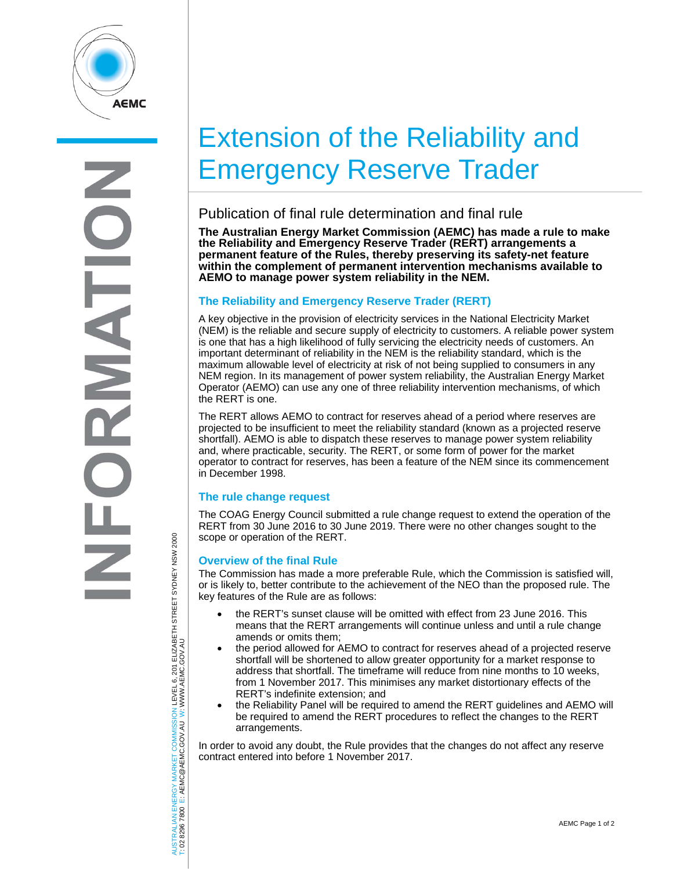

**RNATI** 

# Extension of the Reliability and Emergency Reserve Trader

## Publication of final rule determination and final rule

**The Australian Energy Market Commission (AEMC) has made a rule to make the Reliability and Emergency Reserve Trader (RERT) arrangements a permanent feature of the Rules, thereby preserving its safety-net feature within the complement of permanent intervention mechanisms available to AEMO to manage power system reliability in the NEM.** 

### **The Reliability and Emergency Reserve Trader (RERT)**

A key objective in the provision of electricity services in the National Electricity Market (NEM) is the reliable and secure supply of electricity to customers. A reliable power system is one that has a high likelihood of fully servicing the electricity needs of customers. An important determinant of reliability in the NEM is the reliability standard, which is the maximum allowable level of electricity at risk of not being supplied to consumers in any NEM region. In its management of power system reliability, the Australian Energy Market Operator (AEMO) can use any one of three reliability intervention mechanisms, of which the RERT is one.

The RERT allows AEMO to contract for reserves ahead of a period where reserves are projected to be insufficient to meet the reliability standard (known as a projected reserve shortfall). AEMO is able to dispatch these reserves to manage power system reliability and, where practicable, security. The RERT, or some form of power for the market operator to contract for reserves, has been a feature of the NEM since its commencement in December 1998.

### **The rule change request**

The COAG Energy Council submitted a rule change request to extend the operation of the RERT from 30 June 2016 to 30 June 2019. There were no other changes sought to the scope or operation of the RERT.

#### **Overview of the final Rule**

The Commission has made a more preferable Rule, which the Commission is satisfied will, or is likely to, better contribute to the achievement of the NEO than the proposed rule. The key features of the Rule are as follows:

- the RERT's sunset clause will be omitted with effect from 23 June 2016. This means that the RERT arrangements will continue unless and until a rule change amends or omits them;
- the period allowed for AEMO to contract for reserves ahead of a projected reserve shortfall will be shortened to allow greater opportunity for a market response to address that shortfall. The timeframe will reduce from nine months to 10 weeks, from 1 November 2017. This minimises any market distortionary effects of the RERT's indefinite extension; and
- the Reliability Panel will be required to amend the RERT guidelines and AEMO will be required to amend the RERT procedures to reflect the changes to the RERT arrangements.

In order to avoid any doubt, the Rule provides that the changes do not affect any reserve contract entered into before 1 November 2017.

AUSTRALIAN ENERGY MARKET COMMISSION LEVEL 6, 201 ELIZABETH STREET SYDNEY NSW 2000<br>T: 02 8296 7800 E: AEMC@AEMC.GOV.AU W: WWW.AEMC.GOV.AU AUSTRALIAN ENERGY MARKET COMMISSION LEVEL 6, 201 ELIZABETH STREET SYDNEY NSW 2000 W: WWW.AEMC.GOV.AU T: 02 8296 7800 E: AEMC@AEMC.GOV.AU